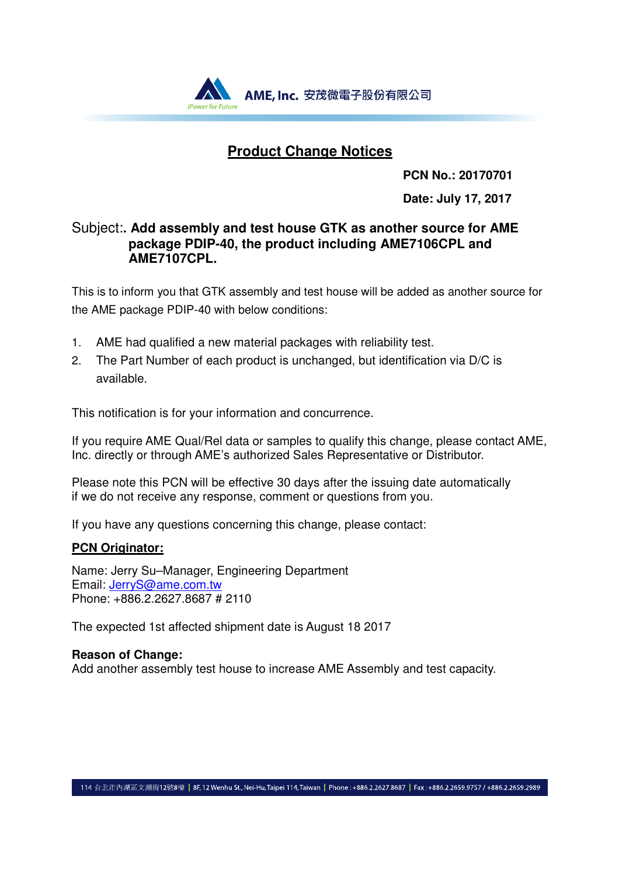

### **Product Change Notices**

**PCN No.: 20170701** 

**Date: July 17, 2017**

### Subject:**. Add assembly and test house GTK as another source for AME package PDIP-40, the product including AME7106CPL and AME7107CPL.**

This is to inform you that GTK assembly and test house will be added as another source for the AME package PDIP-40 with below conditions:

- 1. AME had qualified a new material packages with reliability test.
- 2. The Part Number of each product is unchanged, but identification via D/C is available.

This notification is for your information and concurrence.

If you require AME Qual/Rel data or samples to qualify this change, please contact AME, Inc. directly or through AME's authorized Sales Representative or Distributor.

Please note this PCN will be effective 30 days after the issuing date automatically if we do not receive any response, comment or questions from you.

If you have any questions concerning this change, please contact:

### **PCN Originator:**

Name: Jerry Su–Manager, Engineering Department Email: JerryS@ame.com.tw Phone: +886.2.2627.8687 # 2110

The expected 1st affected shipment date is August 18 2017

### **Reason of Change:**

Add another assembly test house to increase AME Assembly and test capacity.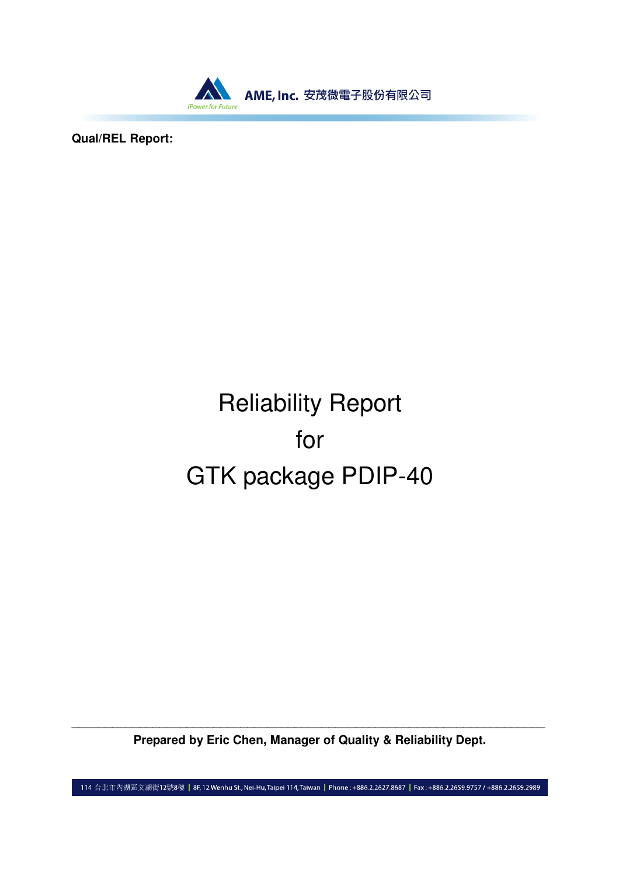

**Qual/REL Report:**

# Reliability Report for GTK package PDIP-40

\_\_\_\_\_\_\_\_\_\_\_\_\_\_\_\_\_\_\_\_\_\_\_\_\_\_\_\_\_\_\_\_\_\_\_\_\_\_\_\_\_\_\_\_\_\_\_\_\_\_\_\_\_\_\_\_\_\_\_\_\_\_\_\_\_\_\_\_\_\_ **Prepared by Eric Chen, Manager of Quality & Reliability Dept.** 

114 台北市內湖區文湖街12號8樓 | 8F,12 Wenhu St., Nei-Hu, Taipei 114, Taiwan | Phone: +886.2.2627.8687 | Fax: +886.2.2659.9757 / +886.2.2659.2989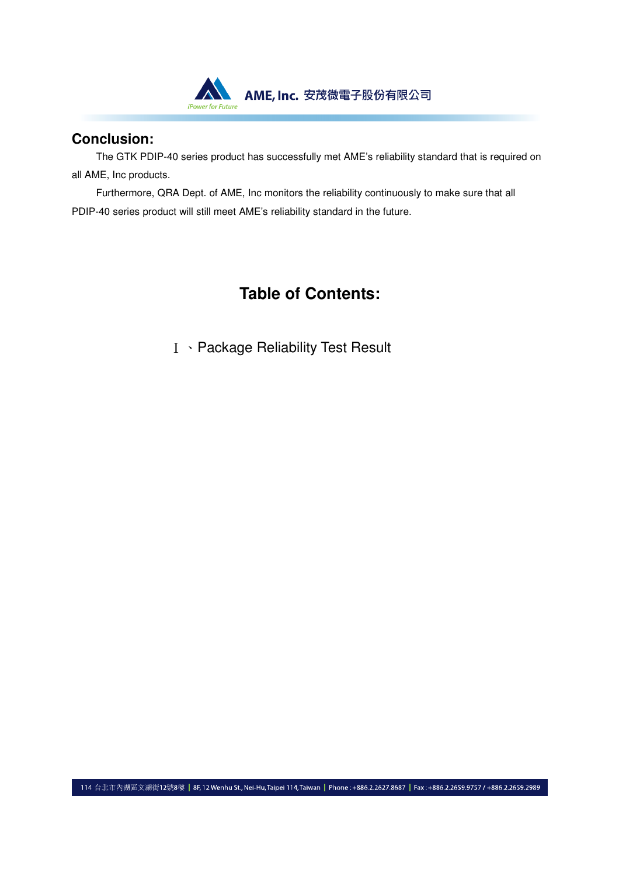

### **Conclusion:**

The GTK PDIP-40 series product has successfully met AME's reliability standard that is required on all AME, Inc products.

Furthermore, QRA Dept. of AME, Inc monitors the reliability continuously to make sure that all PDIP-40 series product will still meet AME's reliability standard in the future.

### **Table of Contents:**

Ⅰ、Package Reliability Test Result